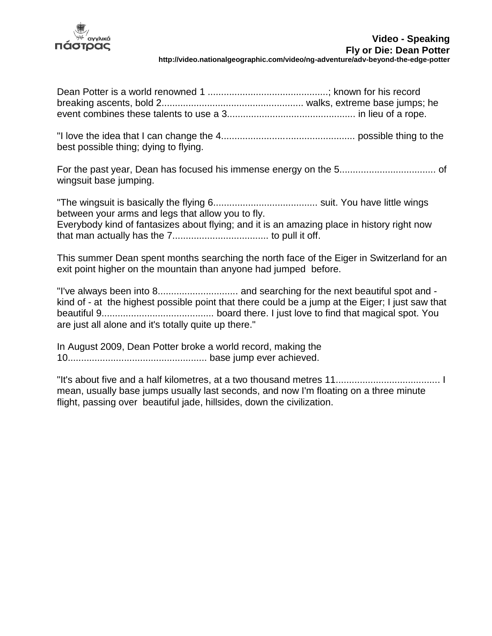

"I love the idea that I can change the 4.................................................. possible thing to the best possible thing; dying to flying.

For the past year, Dean has focused his immense energy on the 5.................................... of wingsuit base jumping.

"The wingsuit is basically the flying 6....................................... suit. You have little wings between your arms and legs that allow you to fly. Everybody kind of fantasizes about flying; and it is an amazing place in history right now

that man actually has the 7.................................... to pull it off.

This summer Dean spent months searching the north face of the Eiger in Switzerland for an exit point higher on the mountain than anyone had jumped before.

"I've always been into 8.............................. and searching for the next beautiful spot and kind of - at the highest possible point that there could be a jump at the Eiger; I just saw that beautiful 9.......................................... board there. I just love to find that magical spot. You are just all alone and it's totally quite up there."

In August 2009, Dean Potter broke a world record, making the 10.................................................... base jump ever achieved.

"It's about five and a half kilometres, at a two thousand metres 11....................................... I mean, usually base jumps usually last seconds, and now I'm floating on a three minute flight, passing over beautiful jade, hillsides, down the civilization.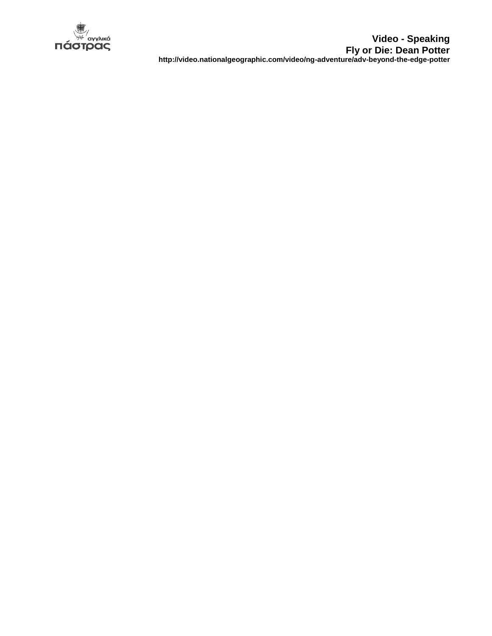